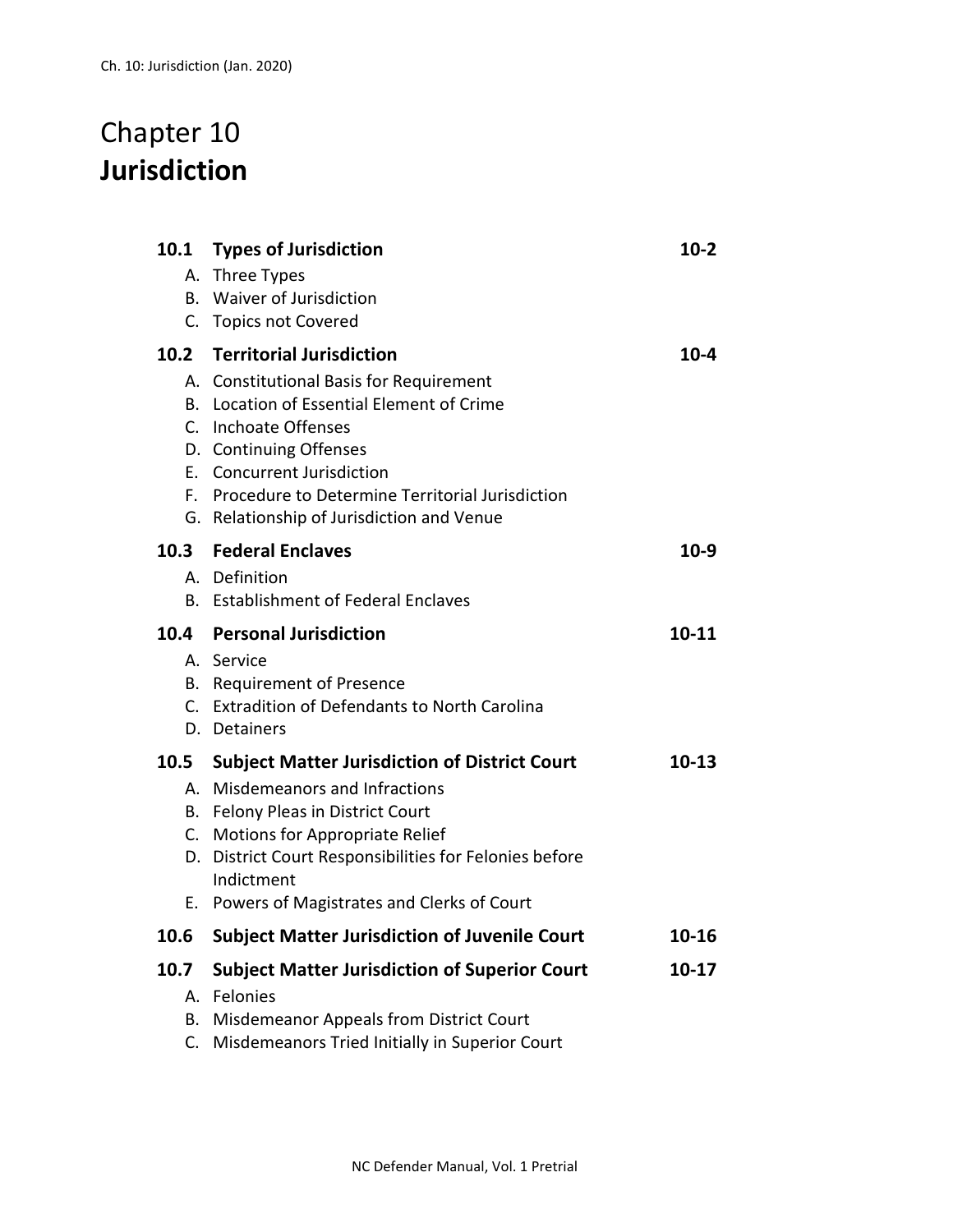## Chapter 10 **Jurisdiction**

|  | 10.1 | <b>Types of Jurisdiction</b>                            | $10-2$    |
|--|------|---------------------------------------------------------|-----------|
|  |      | A. Three Types                                          |           |
|  | В.   | <b>Waiver of Jurisdiction</b>                           |           |
|  |      | C. Topics not Covered                                   |           |
|  |      | 10.2 Territorial Jurisdiction                           | $10 - 4$  |
|  |      | A. Constitutional Basis for Requirement                 |           |
|  |      | B. Location of Essential Element of Crime               |           |
|  |      | C. Inchoate Offenses<br>D. Continuing Offenses          |           |
|  |      | E. Concurrent Jurisdiction                              |           |
|  |      | F. Procedure to Determine Territorial Jurisdiction      |           |
|  |      | G. Relationship of Jurisdiction and Venue               |           |
|  |      | 10.3 Federal Enclaves                                   | $10-9$    |
|  |      | A. Definition                                           |           |
|  |      | B. Establishment of Federal Enclaves                    |           |
|  |      | 10.4 Personal Jurisdiction                              | $10 - 11$ |
|  |      | A. Service                                              |           |
|  |      |                                                         |           |
|  |      | B. Requirement of Presence                              |           |
|  |      | C. Extradition of Defendants to North Carolina          |           |
|  |      | D. Detainers                                            |           |
|  | 10.5 | <b>Subject Matter Jurisdiction of District Court</b>    | 10-13     |
|  |      | A. Misdemeanors and Infractions                         |           |
|  |      | B. Felony Pleas in District Court                       |           |
|  |      | C. Motions for Appropriate Relief                       |           |
|  |      | D. District Court Responsibilities for Felonies before  |           |
|  | Е.   | Indictment<br>Powers of Magistrates and Clerks of Court |           |
|  | 10.6 | <b>Subject Matter Jurisdiction of Juvenile Court</b>    | $10 - 16$ |
|  | 10.7 | <b>Subject Matter Jurisdiction of Superior Court</b>    | $10-17$   |
|  |      | A. Felonies                                             |           |
|  | В.   | Misdemeanor Appeals from District Court                 |           |